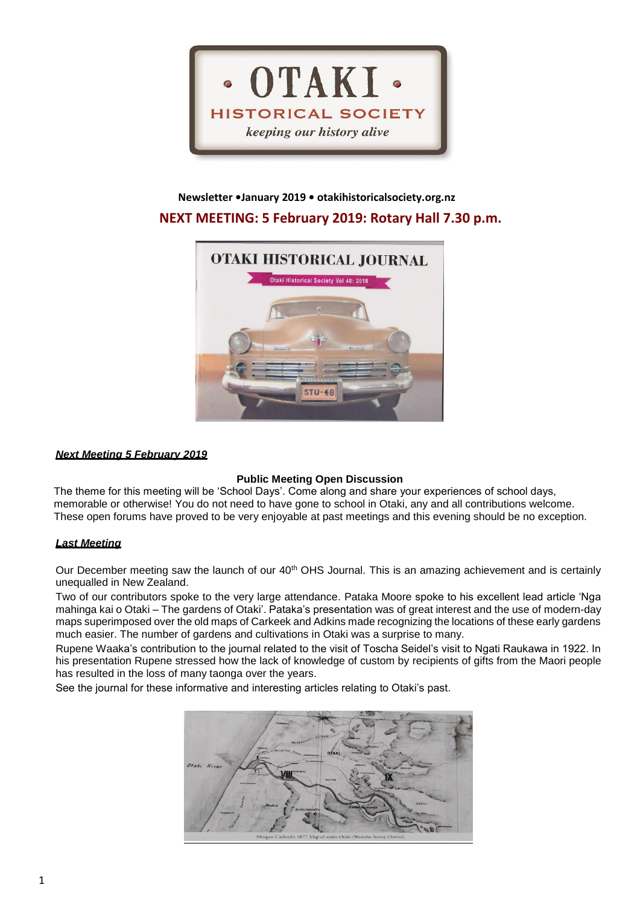

# **Newsletter •January 2019 • otakihistoricalsociety.org.nz NEXT MEETING: 5 February 2019: Rotary Hall 7.30 p.m.**



# *Next Meeting 5 February 2019*

# **Public Meeting Open Discussion**

The theme for this meeting will be 'School Days'. Come along and share your experiences of school days, memorable or otherwise! You do not need to have gone to school in Otaki, any and all contributions welcome. These open forums have proved to be very enjoyable at past meetings and this evening should be no exception.

# *Last Meeting*

Our December meeting saw the launch of our 40<sup>th</sup> OHS Journal. This is an amazing achievement and is certainly unequalled in New Zealand.

Two of our contributors spoke to the very large attendance. Pataka Moore spoke to his excellent lead article 'Nga mahinga kai o Otaki – The gardens of Otaki'. Pataka's presentation was of great interest and the use of modern-day maps superimposed over the old maps of Carkeek and Adkins made recognizing the locations of these early gardens much easier. The number of gardens and cultivations in Otaki was a surprise to many.

Rupene Waaka's contribution to the journal related to the visit of Toscha Seidel's visit to Ngati Raukawa in 1922. In his presentation Rupene stressed how the lack of knowledge of custom by recipients of gifts from the Maori people has resulted in the loss of many taonga over the years.

See the journal for these informative and interesting articles relating to Otaki's past.

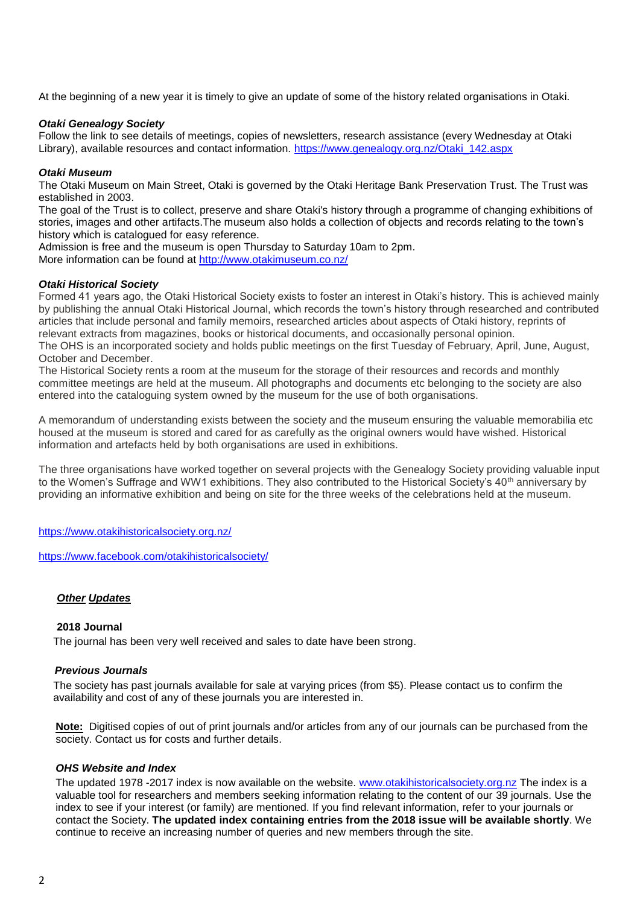At the beginning of a new year it is timely to give an update of some of the history related organisations in Otaki.

# *Otaki Genealogy Society*

Follow the link to see details of meetings, copies of newsletters, research assistance (every Wednesday at Otaki Library), available resources and contact information. [https://www.genealogy.org.nz/Otaki\\_142.aspx](https://www.genealogy.org.nz/Otaki_142.aspx)

# *Otaki Museum*

The Otaki Museum on Main Street, Otaki is governed by the Otaki Heritage Bank Preservation Trust. The Trust was established in 2003.

The goal of the Trust is to collect, preserve and share Otaki's history through a programme of changing exhibitions of stories, images and other artifacts.The museum also holds a collection of objects and records relating to the town's history which is catalogued for easy reference.

Admission is free and the museum is open Thursday to Saturday 10am to 2pm.

More information can be found at<http://www.otakimuseum.co.nz/>

# *Otaki Historical Society*

Formed 41 years ago, the Otaki Historical Society exists to foster an interest in Otaki's history. This is achieved mainly by publishing the annual Otaki Historical Journal, which records the town's history through researched and contributed articles that include personal and family memoirs, researched articles about aspects of Otaki history, reprints of relevant extracts from magazines, books or historical documents, and occasionally personal opinion. The OHS is an incorporated society and holds public meetings on the first Tuesday of February, April, June, August, October and December.

The Historical Society rents a room at the museum for the storage of their resources and records and monthly committee meetings are held at the museum. All photographs and documents etc belonging to the society are also entered into the cataloguing system owned by the museum for the use of both organisations.

A memorandum of understanding exists between the society and the museum ensuring the valuable memorabilia etc housed at the museum is stored and cared for as carefully as the original owners would have wished. Historical information and artefacts held by both organisations are used in exhibitions.

The three organisations have worked together on several projects with the Genealogy Society providing valuable input to the Women's Suffrage and WW1 exhibitions. They also contributed to the Historical Society's 40<sup>th</sup> anniversary by providing an informative exhibition and being on site for the three weeks of the celebrations held at the museum.

<https://www.otakihistoricalsociety.org.nz/>

<https://www.facebook.com/otakihistoricalsociety/>

# *Other Updates*

## **2018 Journal**

The journal has been very well received and sales to date have been strong.

# *Previous Journals*

The society has past journals available for sale at varying prices (from \$5). Please contact us to confirm the availability and cost of any of these journals you are interested in.

**Note:** Digitised copies of out of print journals and/or articles from any of our journals can be purchased from the society. Contact us for costs and further details.

## *OHS Website and Index*

The updated 1978 -2017 index is now available on the website. [www.otakihistoricalsociety.org.nz](http://www.otakihistoricalsociety.org.nz/) The index is a valuable tool for researchers and members seeking information relating to the content of our 39 journals. Use the index to see if your interest (or family) are mentioned. If you find relevant information, refer to your journals or contact the Society. **The updated index containing entries from the 2018 issue will be available shortly**. We continue to receive an increasing number of queries and new members through the site.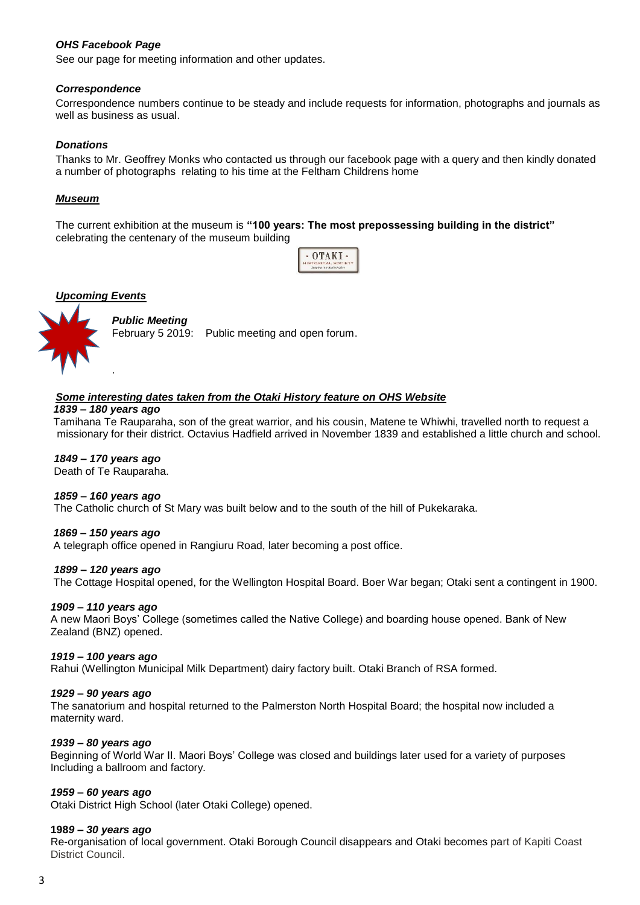# *OHS Facebook Page*

See our page for meeting information and other updates.

# *Correspondence*

Correspondence numbers continue to be steady and include requests for information, photographs and journals as well as business as usual.

# *Donations*

Thanks to Mr. Geoffrey Monks who contacted us through our facebook page with a query and then kindly donated a number of photographs relating to his time at the Feltham Childrens home

# *Museum*

The current exhibition at the museum is **"100 years: The most prepossessing building in the district"** celebrating the centenary of the museum building

| 'A M                      |
|---------------------------|
| <b>IISTORICAL SOCIETY</b> |
| keeping any history alive |



# *Public Meeting*

February 5 2019: Public meeting and open forum.

# *Some interesting dates taken from the Otaki History feature on OHS Website*

#### *1839 – 180 years ago*

 Tamihana Te Rauparaha, son of the great warrior, and his cousin, Matene te Whiwhi, travelled north to request a missionary for their district. Octavius Hadfield arrived in November 1839 and established a little church and school.

## *1849 – 170 years ago*

Death of Te Rauparaha.

## *1859 – 160 years ago*

The Catholic church of St Mary was built below and to the south of the hill of Pukekaraka.

## *1869 – 150 years ago*

A telegraph office opened in Rangiuru Road, later becoming a post office.

## *1899 – 120 years ago*

The Cottage Hospital opened, for the Wellington Hospital Board. Boer War began; Otaki sent a contingent in 1900.

## *1909 – 110 years ago*

 A new Maori Boys' College (sometimes called the Native College) and boarding house opened. Bank of New Zealand (BNZ) opened.

## *1919 – 100 years ago*

Rahui (Wellington Municipal Milk Department) dairy factory built. Otaki Branch of RSA formed.

## *1929 – 90 years ago*

 The sanatorium and hospital returned to the Palmerston North Hospital Board; the hospital now included a maternity ward.

## *1939 – 80 years ago*

 Beginning of World War II. Maori Boys' College was closed and buildings later used for a variety of purposes Including a ballroom and factory.

## *1959 – 60 years ago*

Otaki District High School (later Otaki College) opened.

## **198***9 – 30 years ago*

 Re-organisation of local government. Otaki Borough Council disappears and Otaki becomes part of Kapiti Coast District Council.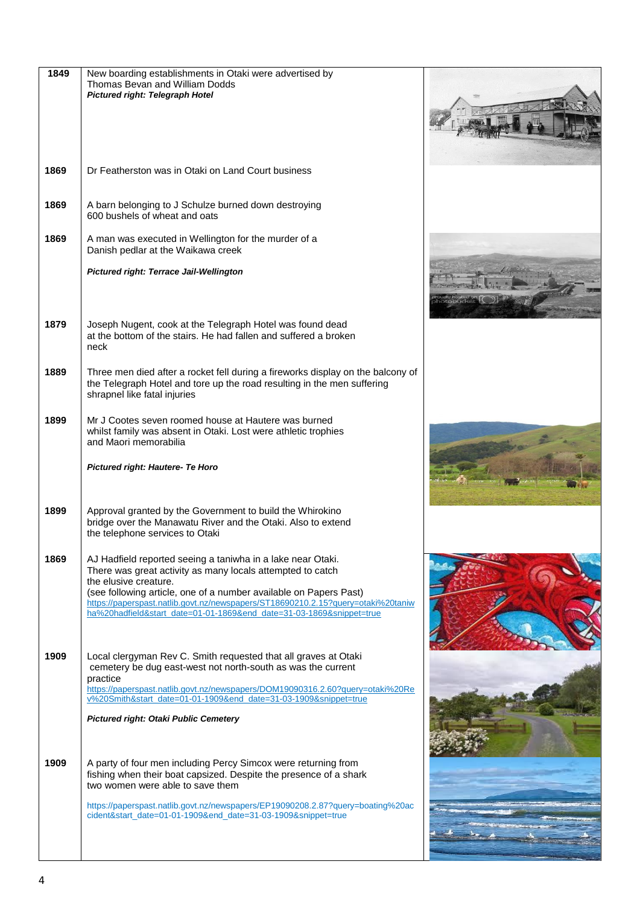| 1849 | New boarding establishments in Otaki were advertised by<br>Thomas Bevan and William Dodds<br>Pictured right: Telegraph Hotel                                                                                                                                                                                                                                                        |  |
|------|-------------------------------------------------------------------------------------------------------------------------------------------------------------------------------------------------------------------------------------------------------------------------------------------------------------------------------------------------------------------------------------|--|
| 1869 | Dr Featherston was in Otaki on Land Court business                                                                                                                                                                                                                                                                                                                                  |  |
| 1869 | A barn belonging to J Schulze burned down destroying<br>600 bushels of wheat and oats                                                                                                                                                                                                                                                                                               |  |
| 1869 | A man was executed in Wellington for the murder of a<br>Danish pedlar at the Waikawa creek                                                                                                                                                                                                                                                                                          |  |
|      | <b>Pictured right: Terrace Jail-Wellington</b>                                                                                                                                                                                                                                                                                                                                      |  |
| 1879 | Joseph Nugent, cook at the Telegraph Hotel was found dead<br>at the bottom of the stairs. He had fallen and suffered a broken<br>neck                                                                                                                                                                                                                                               |  |
| 1889 | Three men died after a rocket fell during a fireworks display on the balcony of<br>the Telegraph Hotel and tore up the road resulting in the men suffering<br>shrapnel like fatal injuries                                                                                                                                                                                          |  |
| 1899 | Mr J Cootes seven roomed house at Hautere was burned<br>whilst family was absent in Otaki. Lost were athletic trophies<br>and Maori memorabilia                                                                                                                                                                                                                                     |  |
|      | Pictured right: Hautere- Te Horo                                                                                                                                                                                                                                                                                                                                                    |  |
| 1899 | Approval granted by the Government to build the Whirokino<br>bridge over the Manawatu River and the Otaki. Also to extend<br>the telephone services to Otaki                                                                                                                                                                                                                        |  |
| 1869 | AJ Hadfield reported seeing a taniwha in a lake near Otaki.<br>There was great activity as many locals attempted to catch<br>the elusive creature.<br>(see following article, one of a number available on Papers Past)<br>https://paperspast.natlib.govt.nz/newspapers/ST18690210.2.15?query=otaki%20taniw<br>ha%20hadfield&start_date=01-01-1869&end_date=31-03-1869&snippet=true |  |
| 1909 | Local clergyman Rev C. Smith requested that all graves at Otaki<br>cemetery be dug east-west not north-south as was the current<br>practice<br>https://paperspast.natlib.govt.nz/newspapers/DOM19090316.2.60?query=otaki%20Re                                                                                                                                                       |  |
|      | v%20Smith&start_date=01-01-1909&end_date=31-03-1909&snippet=true<br><b>Pictured right: Otaki Public Cemetery</b>                                                                                                                                                                                                                                                                    |  |
|      |                                                                                                                                                                                                                                                                                                                                                                                     |  |
| 1909 | A party of four men including Percy Simcox were returning from<br>fishing when their boat capsized. Despite the presence of a shark<br>two women were able to save them                                                                                                                                                                                                             |  |
|      | https://paperspast.natlib.govt.nz/newspapers/EP19090208.2.87?query=boating%20ac<br>cident&start_date=01-01-1909&end_date=31-03-1909&snippet=true                                                                                                                                                                                                                                    |  |